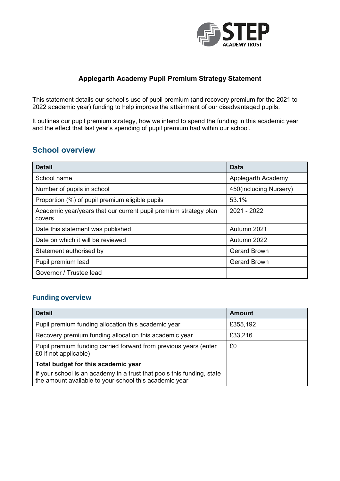

### **Applegarth Academy Pupil Premium Strategy Statement**

This statement details our school's use of pupil premium (and recovery premium for the 2021 to 2022 academic year) funding to help improve the attainment of our disadvantaged pupils.

It outlines our pupil premium strategy, how we intend to spend the funding in this academic year and the effect that last year's spending of pupil premium had within our school.

## **School overview**

| <b>Detail</b>                                                              | <b>Data</b>            |
|----------------------------------------------------------------------------|------------------------|
| School name                                                                | Applegarth Academy     |
| Number of pupils in school                                                 | 450(including Nursery) |
| Proportion (%) of pupil premium eligible pupils                            | 53.1%                  |
| Academic year/years that our current pupil premium strategy plan<br>covers | 2021 - 2022            |
| Date this statement was published                                          | Autumn 2021            |
| Date on which it will be reviewed                                          | Autumn 2022            |
| Statement authorised by                                                    | <b>Gerard Brown</b>    |
| Pupil premium lead                                                         | <b>Gerard Brown</b>    |
| Governor / Trustee lead                                                    |                        |

### **Funding overview**

| <b>Detail</b>                                                                                                                    | <b>Amount</b> |
|----------------------------------------------------------------------------------------------------------------------------------|---------------|
| Pupil premium funding allocation this academic year                                                                              | £355,192      |
| Recovery premium funding allocation this academic year                                                                           | £33,216       |
| Pupil premium funding carried forward from previous years (enter<br>£0 if not applicable)                                        | £0            |
| Total budget for this academic year                                                                                              |               |
| If your school is an academy in a trust that pools this funding, state<br>the amount available to your school this academic year |               |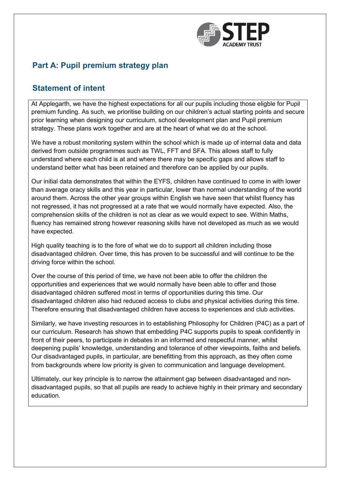

## **Part A: Pupil premium strategy plan**

## **Statement of intent**

At Applegarth, we have the highest expectations for all our pupils including those eligble for Pupil premium funding. As such, we prioritise building on our children's actual starting points and secure prior learning when designing our curriculum, school development plan and Pupil premium strategy. These plans work together and are at the heart of what we do at the school.

We have a robust monitoring system within the school which is made up of internal data and data derived from outside programmes such as TWL, FFT and SFA. This allows staff to fully understand where each child is at and where there may be specific gaps and allows staff to understand better what has been retained and therefore can be applied by our pupils.

Our initial data demonstrates that within the EYFS, children have continued to come in with lower than average oracy skills and this year in particular, lower than normal understanding of the world around them. Across the other year groups within English we have seen that whilst fluency has not regressed, it has not progressed at a rate that we would normally have expected. Also, the comprehension skills of the children is not as clear as we would expect to see. Within Maths, fluency has remained strong however reasoning skills have not developed as much as we would have expected.

High quality teaching is to the fore of what we do to support all children including those disadvantaged children. Over time, this has proven to be successful and will continue to be the driving force within the school.

Over the course of this period of time, we have not been able to offer the children the opportunities and experiences that we would normally have been able to offer and those disadvantaged children suffered most in terms of opportunities during this time. Our disadvantaged children also had reduced access to clubs and physical activities during this time. Therefore ensuring that disadvantaged children have access to experiences and club activities.

Similarly, we have investing resources in to establishing Philosophy for Children (P4C) as a part of our curriculum. Research has shown that embedding P4C supports pupils to speak confidently in front of their peers, to participate in debates in an informed and respectful manner, whilst deepening pupils' knowledge, understanding and tolerance of other viewpoints, faiths and beliefs. Our disadvantaged pupils, in particular, are benefitting from this approach, as they often come from backgrounds where low priority is given to communication and language development.

Ultimately, our key principle is to narrow the attainment gap between disadvantaged and nondisadvantaged pupils, so that all pupils are ready to achieve highly in their primary and secondary education.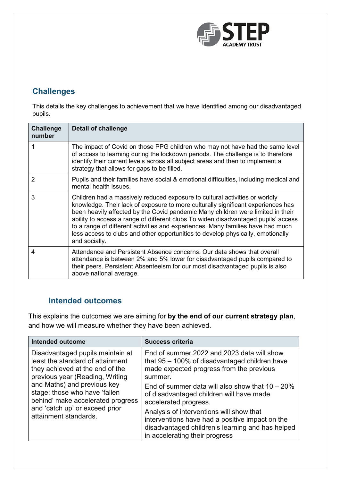

## **Challenges**

This details the key challenges to achievement that we have identified among our disadvantaged pupils.

| <b>Challenge</b><br>number | <b>Detail of challenge</b>                                                                                                                                                                                                                                                                                                                                                                                                                                                                                                      |
|----------------------------|---------------------------------------------------------------------------------------------------------------------------------------------------------------------------------------------------------------------------------------------------------------------------------------------------------------------------------------------------------------------------------------------------------------------------------------------------------------------------------------------------------------------------------|
|                            | The impact of Covid on those PPG children who may not have had the same level<br>of access to learning during the lockdown periods. The challenge is to therefore<br>identify their current levels across all subject areas and then to implement a<br>strategy that allows for gaps to be filled.                                                                                                                                                                                                                              |
| 2                          | Pupils and their families have social & emotional difficulties, including medical and<br>mental health issues.                                                                                                                                                                                                                                                                                                                                                                                                                  |
| 3                          | Children had a massively reduced exposure to cultural activities or worldly<br>knowledge. Their lack of exposure to more culturally significant experiences has<br>been heavily affected by the Covid pandemic Many children were limited in their<br>ability to access a range of different clubs To widen disadvantaged pupils' access<br>to a range of different activities and experiences. Many families have had much<br>less access to clubs and other opportunities to develop physically, emotionally<br>and socially. |
| 4                          | Attendance and Persistent Absence concerns. Our data shows that overall<br>attendance is between 2% and 5% lower for disadvantaged pupils compared to<br>their peers. Persistent Absenteeism for our most disadvantaged pupils is also<br>above national average.                                                                                                                                                                                                                                                               |

## **Intended outcomes**

This explains the outcomes we are aiming for **by the end of our current strategy plan**, and how we will measure whether they have been achieved.

| <b>Intended outcome</b>                                                                                                                                                                                                                                                                                    | <b>Success criteria</b>                                                                                                                                                                                                                                                                                                                                                                                                                                               |
|------------------------------------------------------------------------------------------------------------------------------------------------------------------------------------------------------------------------------------------------------------------------------------------------------------|-----------------------------------------------------------------------------------------------------------------------------------------------------------------------------------------------------------------------------------------------------------------------------------------------------------------------------------------------------------------------------------------------------------------------------------------------------------------------|
| Disadvantaged pupils maintain at<br>least the standard of attainment<br>they achieved at the end of the<br>previous year (Reading, Writing<br>and Maths) and previous key<br>stage; those who have 'fallen<br>behind' make accelerated progress<br>and 'catch up' or exceed prior<br>attainment standards. | End of summer 2022 and 2023 data will show<br>that $95 - 100\%$ of disadvantaged children have<br>made expected progress from the previous<br>summer.<br>End of summer data will also show that $10 - 20\%$<br>of disadvantaged children will have made<br>accelerated progress.<br>Analysis of interventions will show that<br>interventions have had a positive impact on the<br>disadvantaged children's learning and has helped<br>in accelerating their progress |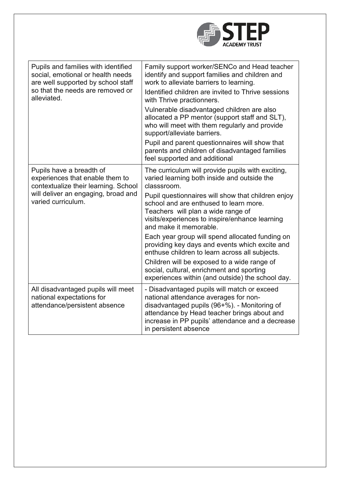

| Pupils and families with identified<br>social, emotional or health needs<br>are well supported by school staff<br>so that the needs are removed or<br>alleviated. | Family support worker/SENCo and Head teacher<br>identify and support families and children and<br>work to alleviate barriers to learning.<br>Identified children are invited to Thrive sessions<br>with Thrive practionners.<br>Vulnerable disadvantaged children are also<br>allocated a PP mentor (support staff and SLT), |
|-------------------------------------------------------------------------------------------------------------------------------------------------------------------|------------------------------------------------------------------------------------------------------------------------------------------------------------------------------------------------------------------------------------------------------------------------------------------------------------------------------|
|                                                                                                                                                                   | who will meet with them regularly and provide<br>support/alleviate barriers.                                                                                                                                                                                                                                                 |
|                                                                                                                                                                   | Pupil and parent questionnaires will show that<br>parents and children of disadvantaged families<br>feel supported and additional                                                                                                                                                                                            |
| Pupils have a breadth of<br>experiences that enable them to<br>contextualize their learning. School<br>will deliver an engaging, broad and<br>varied curriculum.  | The curriculum will provide pupils with exciting,<br>varied learning both inside and outside the<br>classsroom.                                                                                                                                                                                                              |
|                                                                                                                                                                   | Pupil questionnaires will show that children enjoy<br>school and are enthused to learn more.<br>Teachers will plan a wide range of<br>visits/experiences to inspire/enhance learning<br>and make it memorable.                                                                                                               |
|                                                                                                                                                                   | Each year group will spend allocated funding on<br>providing key days and events which excite and<br>enthuse children to learn across all subjects.                                                                                                                                                                          |
|                                                                                                                                                                   | Children will be exposed to a wide range of<br>social, cultural, enrichment and sporting<br>experiences within (and outside) the school day.                                                                                                                                                                                 |
| All disadvantaged pupils will meet<br>national expectations for<br>attendance/persistent absence                                                                  | - Disadvantaged pupils will match or exceed<br>national attendance averages for non-<br>disadvantaged pupils (96+%). - Monitoring of<br>attendance by Head teacher brings about and<br>increase in PP pupils' attendance and a decrease<br>in persistent absence                                                             |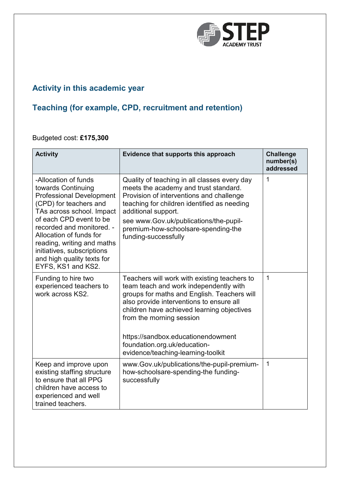

# **Activity in this academic year**

# **Teaching (for example, CPD, recruitment and retention)**

## Budgeted cost: **£175,300**

| <b>Activity</b>                                                                                                                                                                                                                                                                                                                         | Evidence that supports this approach                                                                                                                                                                                                                                                                                                                                    | <b>Challenge</b><br>number(s)<br>addressed |
|-----------------------------------------------------------------------------------------------------------------------------------------------------------------------------------------------------------------------------------------------------------------------------------------------------------------------------------------|-------------------------------------------------------------------------------------------------------------------------------------------------------------------------------------------------------------------------------------------------------------------------------------------------------------------------------------------------------------------------|--------------------------------------------|
| -Allocation of funds<br>towards Continuing<br><b>Professional Development</b><br>(CPD) for teachers and<br>TAs across school. Impact<br>of each CPD event to be<br>recorded and monitored. -<br>Allocation of funds for<br>reading, writing and maths<br>initiatives, subscriptions<br>and high quality texts for<br>EYFS, KS1 and KS2. | Quality of teaching in all classes every day<br>meets the academy and trust standard.<br>Provision of interventions and challenge<br>teaching for children identified as needing<br>additional support.<br>see www.Gov.uk/publications/the-pupil-<br>premium-how-schoolsare-spending-the<br>funding-successfully                                                        | $\mathbf{1}$                               |
| Funding to hire two<br>experienced teachers to<br>work across KS2.                                                                                                                                                                                                                                                                      | Teachers will work with existing teachers to<br>team teach and work independently with<br>groups for maths and English. Teachers will<br>also provide interventions to ensure all<br>children have achieved learning objectives<br>from the morning session<br>https://sandbox.educationendowment<br>foundation.org.uk/education-<br>evidence/teaching-learning-toolkit | 1                                          |
| Keep and improve upon<br>existing staffing structure<br>to ensure that all PPG<br>children have access to<br>experienced and well<br>trained teachers.                                                                                                                                                                                  | www.Gov.uk/publications/the-pupil-premium-<br>how-schoolsare-spending-the funding-<br>successfully                                                                                                                                                                                                                                                                      | $\mathbf{1}$                               |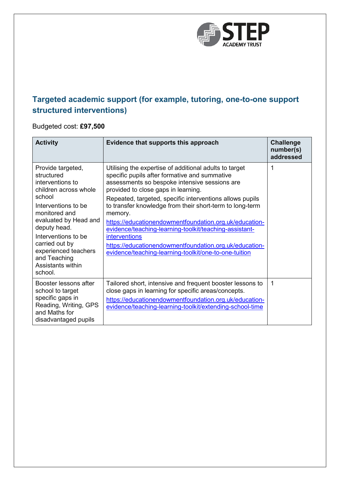

# **Targeted academic support (for example, tutoring, one-to-one support structured interventions)**

Budgeted cost: **£97,500**

| <b>Activity</b>                                                                                                                                                                                                                                                                          | Evidence that supports this approach                                                                                                                                                                                                                                                                                                                                                                                                                                                                                                                                                              | <b>Challenge</b><br>number(s)<br>addressed |
|------------------------------------------------------------------------------------------------------------------------------------------------------------------------------------------------------------------------------------------------------------------------------------------|---------------------------------------------------------------------------------------------------------------------------------------------------------------------------------------------------------------------------------------------------------------------------------------------------------------------------------------------------------------------------------------------------------------------------------------------------------------------------------------------------------------------------------------------------------------------------------------------------|--------------------------------------------|
| Provide targeted,<br>structured<br>interventions to<br>children across whole<br>school<br>Interventions to be<br>monitored and<br>evaluated by Head and<br>deputy head.<br>Interventions to be<br>carried out by<br>experienced teachers<br>and Teaching<br>Assistants within<br>school. | Utilising the expertise of additional adults to target<br>specific pupils after formative and summative<br>assessments so bespoke intensive sessions are<br>provided to close gaps in learning.<br>Repeated, targeted, specific interventions allows pupils<br>to transfer knowledge from their short-term to long-term<br>memory.<br>https://educationendowmentfoundation.org.uk/education-<br>evidence/teaching-learning-toolkit/teaching-assistant-<br><b>interventions</b><br>https://educationendowmentfoundation.org.uk/education-<br>evidence/teaching-learning-toolkit/one-to-one-tuition | 1                                          |
| Booster lessons after<br>school to target<br>specific gaps in<br>Reading, Writing, GPS<br>and Maths for<br>disadvantaged pupils                                                                                                                                                          | Tailored short, intensive and frequent booster lessons to<br>close gaps in learning for specific areas/concepts.<br>https://educationendowmentfoundation.org.uk/education-<br>evidence/teaching-learning-toolkit/extending-school-time                                                                                                                                                                                                                                                                                                                                                            | 1                                          |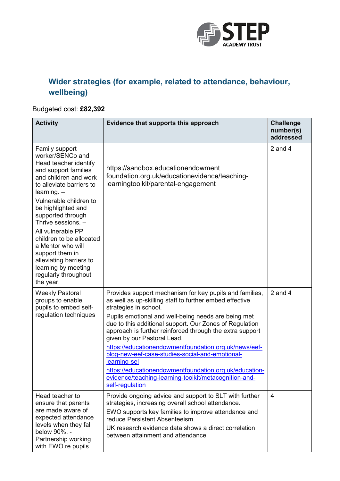

# **Wider strategies (for example, related to attendance, behaviour, wellbeing)**

## Budgeted cost: **£82,392**

| <b>Activity</b>                                                                                                                                                                                                                                                                                                                                                                                                                      | Evidence that supports this approach                                                                                                                                                                                                                                                                                                                                                                                                                                                                                                                                                                                       | <b>Challenge</b><br>number(s)<br>addressed |
|--------------------------------------------------------------------------------------------------------------------------------------------------------------------------------------------------------------------------------------------------------------------------------------------------------------------------------------------------------------------------------------------------------------------------------------|----------------------------------------------------------------------------------------------------------------------------------------------------------------------------------------------------------------------------------------------------------------------------------------------------------------------------------------------------------------------------------------------------------------------------------------------------------------------------------------------------------------------------------------------------------------------------------------------------------------------------|--------------------------------------------|
| Family support<br>worker/SENCo and<br>Head teacher identify<br>and support families<br>and children and work<br>to alleviate barriers to<br>$learning. -$<br>Vulnerable children to<br>be highlighted and<br>supported through<br>Thrive sessions. -<br>All vulnerable PP<br>children to be allocated<br>a Mentor who will<br>support them in<br>alleviating barriers to<br>learning by meeting<br>regularly throughout<br>the year. | https://sandbox.educationendowment<br>foundation.org.uk/educationevidence/teaching-<br>learningtoolkit/parental-engagement                                                                                                                                                                                                                                                                                                                                                                                                                                                                                                 | 2 and $4$                                  |
| <b>Weekly Pastoral</b><br>groups to enable<br>pupils to embed self-<br>regulation techniques                                                                                                                                                                                                                                                                                                                                         | Provides support mechanism for key pupils and families,<br>as well as up-skilling staff to further embed effective<br>strategies in school.<br>Pupils emotional and well-being needs are being met<br>due to this additional support. Our Zones of Regulation<br>approach is further reinforced through the extra support<br>given by our Pastoral Lead.<br>https://educationendowmentfoundation.org.uk/news/eef-<br>blog-new-eef-case-studies-social-and-emotional-<br>learning-sel<br>https://educationendowmentfoundation.org.uk/education-<br>evidence/teaching-learning-toolkit/metacognition-and-<br>self-regulation | 2 and $4$                                  |
| Head teacher to<br>ensure that parents<br>are made aware of<br>expected attendance<br>levels when they fall<br>below 90%. -<br>Partnership working<br>with EWO re pupils                                                                                                                                                                                                                                                             | Provide ongoing advice and support to SLT with further<br>strategies, increasing overall school attendance.<br>EWO supports key families to improve attendance and<br>reduce Persistent Absenteeism.<br>UK research evidence data shows a direct correlation<br>between attainment and attendance.                                                                                                                                                                                                                                                                                                                         | $\overline{4}$                             |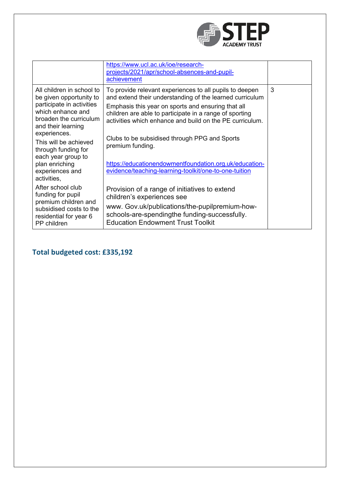

|                                                                                                                                                                        | https://www.ucl.ac.uk/ioe/research-<br>projects/2021/apr/school-absences-and-pupil-<br>achievement                                                                                                                                                                                               |   |
|------------------------------------------------------------------------------------------------------------------------------------------------------------------------|--------------------------------------------------------------------------------------------------------------------------------------------------------------------------------------------------------------------------------------------------------------------------------------------------|---|
| All children in school to<br>be given opportunity to<br>participate in activities<br>which enhance and<br>broaden the curriculum<br>and their learning<br>experiences. | To provide relevant experiences to all pupils to deepen<br>and extend their understanding of the learned curriculum<br>Emphasis this year on sports and ensuring that all<br>children are able to participate in a range of sporting<br>activities which enhance and build on the PE curriculum. | 3 |
| This will be achieved<br>through funding for<br>each year group to<br>plan enriching<br>experiences and<br>activities,                                                 | Clubs to be subsidised through PPG and Sports<br>premium funding.<br>https://educationendowmentfoundation.org.uk/education-<br>evidence/teaching-learning-toolkit/one-to-one-tuition                                                                                                             |   |
| After school club<br>funding for pupil<br>premium children and<br>subsidised costs to the<br>residential for year 6<br>PP children                                     | Provision of a range of initiatives to extend<br>children's experiences see<br>www. Gov.uk/publications/the-pupilpremium-how-<br>schools-are-spendingthe funding-successfully.<br><b>Education Endowment Trust Toolkit</b>                                                                       |   |

# **Total budgeted cost: £335,192**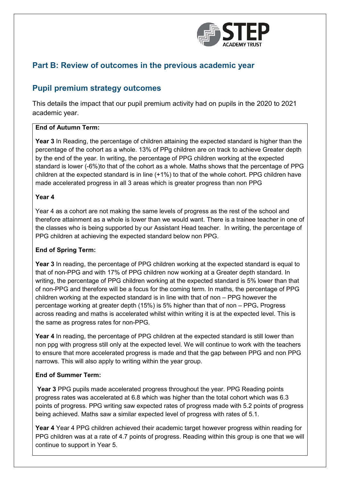

## **Part B: Review of outcomes in the previous academic year**

### **Pupil premium strategy outcomes**

This details the impact that our pupil premium activity had on pupils in the 2020 to 2021 academic year.

#### **End of Autumn Term:**

**Year 3** In Reading, the percentage of children attaining the expected standard is higher than the percentage of the cohort as a whole. 13% of PPg children are on track to achieve Greater depth by the end of the year. In writing, the percentage of PPG children working at the expected standard is lower (-6%)to that of the cohort as a whole. Maths shows that the percentage of PPG children at the expected standard is in line (+1%) to that of the whole cohort. PPG children have made accelerated progress in all 3 areas which is greater progress than non PPG

#### **Year 4**

Year 4 as a cohort are not making the same levels of progress as the rest of the school and therefore attainment as a whole is lower than we would want. There is a trainee teacher in one of the classes who is being supported by our Assistant Head teacher. In writing, the percentage of PPG children at achieving the expected standard below non PPG.

#### **End of Spring Term:**

**Year 3** In reading, the percentage of PPG children working at the expected standard is equal to that of non-PPG and with 17% of PPG children now working at a Greater depth standard. In writing, the percentage of PPG children working at the expected standard is 5% lower than that of non-PPG and therefore will be a focus for the coming term. In maths, the percentage of PPG children working at the expected standard is in line with that of non – PPG however the percentage working at greater depth (15%) is 5% higher than that of non – PPG**.** Progress across reading and maths is accelerated whilst within writing it is at the expected level. This is the same as progress rates for non-PPG.

**Year 4** In reading, the percentage of PPG children at the expected standard is still lower than non ppg with progress still only at the expected level. We will continue to work with the teachers to ensure that more accelerated progress is made and that the gap between PPG and non PPG narrows. This will also apply to writing within the year group.

#### **End of Summer Term:**

**Year 3** PPG pupils made accelerated progress throughout the year. PPG Reading points progress rates was accelerated at 6.8 which was higher than the total cohort which was 6.3 points of progress. PPG writing saw expected rates of progress made with 5.2 points of progress being achieved. Maths saw a similar expected level of progress with rates of 5.1.

**Year 4** Year 4 PPG children achieved their academic target however progress within reading for PPG children was at a rate of 4.7 points of progress. Reading within this group is one that we will continue to support in Year 5.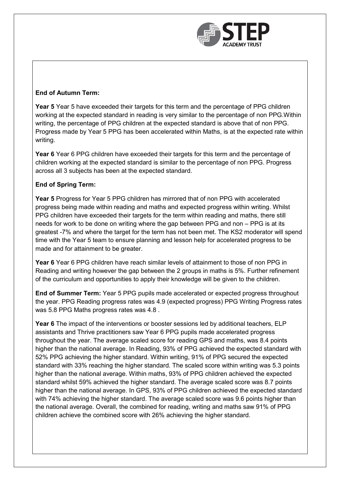

### **End of Autumn Term:**

**Year 5** Year 5 have exceeded their targets for this term and the percentage of PPG children working at the expected standard in reading is very similar to the percentage of non PPG.Within writing, the percentage of PPG children at the expected standard is above that of non PPG. Progress made by Year 5 PPG has been accelerated within Maths, is at the expected rate within writing.

**Year 6** Year 6 PPG children have exceeded their targets for this term and the percentage of children working at the expected standard is similar to the percentage of non PPG. Progress across all 3 subjects has been at the expected standard.

#### **End of Spring Term:**

**Year 5** Progress for Year 5 PPG children has mirrored that of non PPG with accelerated progress being made within reading and maths and expected progress within writing. Whilst PPG children have exceeded their targets for the term within reading and maths, there still needs for work to be done on writing where the gap between PPG and non – PPG is at its greatest -7% and where the target for the term has not been met. The KS2 moderator will spend time with the Year 5 team to ensure planning and lesson help for accelerated progress to be made and for attainment to be greater.

**Year 6** Year 6 PPG children have reach similar levels of attainment to those of non PPG in Reading and writing however the gap between the 2 groups in maths is 5%. Further refinement of the curriculum and opportunities to apply their knowledge will be given to the children.

**End of Summer Term:** Year 5 PPG pupils made accelerated or expected progress throughout the year. PPG Reading progress rates was 4.9 (expected progress) PPG Writing Progress rates was 5.8 PPG Maths progress rates was 4.8 .

**Year 6** The impact of the interventions or booster sessions led by additional teachers, ELP assistants and Thrive practitioners saw Year 6 PPG pupils made accelerated progress throughout the year. The average scaled score for reading GPS and maths, was 8.4 points higher than the national average. In Reading, 93% of PPG achieved the expected standard with 52% PPG achieving the higher standard. Within writing, 91% of PPG secured the expected standard with 33% reaching the higher standard. The scaled score within writing was 5.3 points higher than the national average. Within maths, 93% of PPG children achieved the expected standard whilst 59% achieved the higher standard. The average scaled score was 8.7 points higher than the national average. In GPS, 93% of PPG children achieved the expected standard with 74% achieving the higher standard. The average scaled score was 9.6 points higher than the national average. Overall, the combined for reading, writing and maths saw 91% of PPG children achieve the combined score with 26% achieving the higher standard.